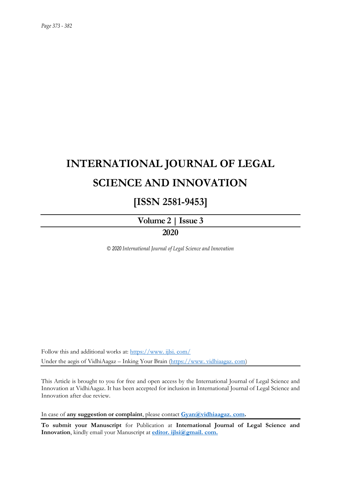## **INTERNATIONAL JOURNAL OF LEGAL SCIENCE AND INNOVATION**

### **[ISSN 2581-9453]**

# **Volume 2 | Issue 3**

### **2020**

*© 2020 International Journal of Legal Science and Innovation*

Follow this and additional works at: [https://www. ijlsi. com/](https://www.ijlsi.com/) Under the aegis of VidhiAagaz – Inking Your Brain [\(https://www. vidhiaagaz. com\)](https://www.vidhiaagaz.com/)

This Article is brought to you for free and open access by the International Journal of Legal Science and Innovation at VidhiAagaz. It has been accepted for inclusion in International Journal of Legal Science and Innovation after due review.

In case of **any suggestion or complaint**, please contact **[Gyan@vidhiaagaz. com.](mailto:Gyan@vidhiaagaz.com)** 

**To submit your Manuscript** for Publication at **International Journal of Legal Science and Innovation**, kindly email your Manuscript at **[editor. ijlsi@gmail. com.](mailto:editor.ijlsi@gmail.com)**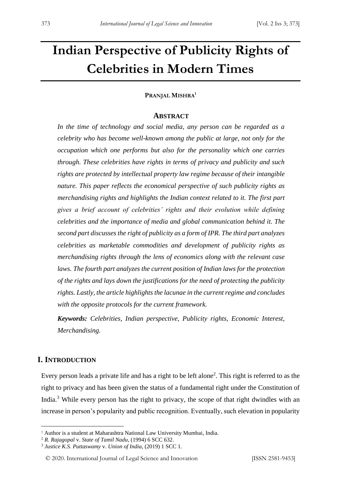### **Indian Perspective of Publicity Rights of Celebrities in Modern Times**

#### **PRANJAL MISHRA<sup>1</sup>**

#### **ABSTRACT**

*In the time of technology and social media, any person can be regarded as a celebrity who has become well-known among the public at large, not only for the occupation which one performs but also for the personality which one carries through. These celebrities have rights in terms of privacy and publicity and such rights are protected by intellectual property law regime because of their intangible nature. This paper reflects the economical perspective of such publicity rights as merchandising rights and highlights the Indian context related to it. The first part gives a brief account of celebrities' rights and their evolution while defining celebrities and the importance of media and global communication behind it. The second part discusses the right of publicity as a form of IPR. The third part analyzes celebrities as marketable commodities and development of publicity rights as merchandising rights through the lens of economics along with the relevant case laws. The fourth part analyzes the current position of Indian laws for the protection of the rights and lays down the justifications for the need of protecting the publicity rights. Lastly, the article highlights the lacunae in the current regime and concludes with the opposite protocols for the current framework.* 

*Keywords: Celebrities, Indian perspective, Publicity rights, Economic Interest, Merchandising.*

#### **I. INTRODUCTION**

Every person leads a private life and has a right to be left alone<sup>2</sup>. This right is referred to as the right to privacy and has been given the status of a fundamental right under the Constitution of India.<sup>3</sup> While every person has the right to privacy, the scope of that right dwindles with an increase in person's popularity and public recognition. Eventually, such elevation in popularity

<sup>&</sup>lt;sup>1</sup> Author is a student at Maharashtra National Law University Mumbai, India.

<sup>2</sup> *R. Rajagopal* v. *State of Tamil Nadu*, (1994) 6 SCC 632.

<sup>3</sup> *Justice K.S. Puttaswamy* v. *Union of India*, (2019) 1 SCC 1.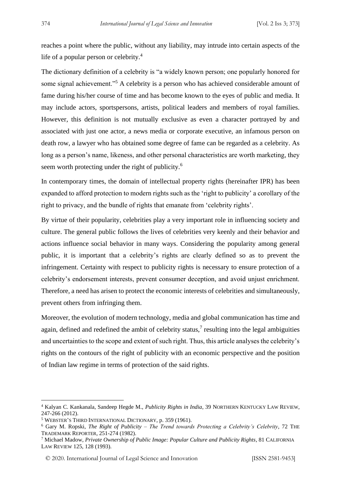reaches a point where the public, without any liability, may intrude into certain aspects of the life of a popular person or celebrity.<sup>4</sup>

The dictionary definition of a celebrity is "a widely known person; one popularly honored for some signal achievement."<sup>5</sup> A celebrity is a person who has achieved considerable amount of fame during his/her course of time and has become known to the eyes of public and media. It may include actors, sportspersons, artists, political leaders and members of royal families. However, this definition is not mutually exclusive as even a character portrayed by and associated with just one actor, a news media or corporate executive, an infamous person on death row, a lawyer who has obtained some degree of fame can be regarded as a celebrity. As long as a person's name, likeness, and other personal characteristics are worth marketing, they seem worth protecting under the right of publicity.<sup>6</sup>

In contemporary times, the domain of intellectual property rights (hereinafter IPR) has been expanded to afford protection to modern rights such as the 'right to publicity' a corollary of the right to privacy, and the bundle of rights that emanate from 'celebrity rights'.

By virtue of their popularity, celebrities play a very important role in influencing society and culture. The general public follows the lives of celebrities very keenly and their behavior and actions influence social behavior in many ways. Considering the popularity among general public, it is important that a celebrity's rights are clearly defined so as to prevent the infringement. Certainty with respect to publicity rights is necessary to ensure protection of a celebrity's endorsement interests, prevent consumer deception, and avoid unjust enrichment. Therefore, a need has arisen to protect the economic interests of celebrities and simultaneously, prevent others from infringing them.

Moreover, the evolution of modern technology, media and global communication has time and again, defined and redefined the ambit of celebrity status, $\frac{7}{1}$  resulting into the legal ambiguities and uncertainties to the scope and extent of such right. Thus, this article analyses the celebrity's rights on the contours of the right of publicity with an economic perspective and the position of Indian law regime in terms of protection of the said rights.

<sup>4</sup> Kalyan C. Kankanala, Sandeep Hegde M., *Publicity Rights in India*, 39 NORTHERN KENTUCKY LAW REVIEW, 247-266 (2012).

<sup>5</sup> WEBSTER'S THIRD INTERNATIONAL DICTIONARY, p. 359 (1961).

<sup>6</sup> Gary M. Ropski, *The Right of Publicity – The Trend towards Protecting a Celebrity's Celebrity*, 72 THE TRADEMARK REPORTER, 251-274 (1982).

<sup>7</sup> Michael Madow, *Private Ownership of Public Image: Popular Culture and Publicity Rights*, 81 CALIFORNIA LAW REVIEW 125, 128 (1993).

<sup>© 2020.</sup> International Journal of Legal Science and Innovation [ISSN 2581-9453]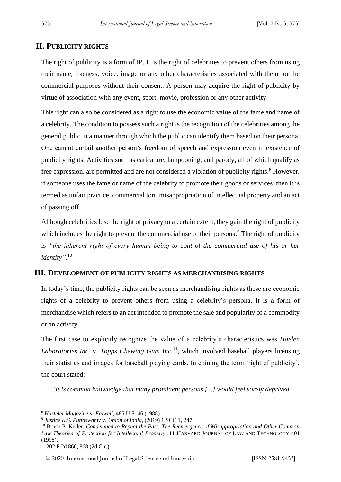#### **II. PUBLICITY RIGHTS**

The right of publicity is a form of IP. It is the right of celebrities to prevent others from using their name, likeness, voice, image or any other characteristics associated with them for the commercial purposes without their consent. A person may acquire the right of publicity by virtue of association with any event, sport, movie, profession or any other activity.

This right can also be considered as a right to use the economic value of the fame and name of a celebrity. The condition to possess such a right is the recognition of the celebrities among the general public in a manner through which the public can identify them based on their persona. One cannot curtail another person's freedom of speech and expression even in existence of publicity rights. Activities such as caricature, lampooning, and parody, all of which qualify as free expression, are permitted and are not considered a violation of publicity rights.<sup>8</sup> However, if someone uses the fame or name of the celebrity to promote their goods or services, then it is termed as unfair practice, commercial tort, misappropriation of intellectual property and an act of passing off.

Although celebrities lose the right of privacy to a certain extent, they gain the right of publicity which includes the right to prevent the commercial use of their persona.<sup>9</sup> The right of publicity is *"the inherent right of every human being to control the commercial use of his or her identity"*. 10

#### **III. DEVELOPMENT OF PUBLICITY RIGHTS AS MERCHANDISING RIGHTS**

In today's time, the publicity rights can be seen as merchandising rights as these are economic rights of a celebrity to prevent others from using a celebrity's persona. It is a form of merchandise which refers to an act intended to promote the sale and popularity of a commodity or an activity.

The first case to explicitly recognize the value of a celebrity's characteristics was *Haelen*  Laboratories Inc. v. Topps Chewing Gum Inc.<sup>11</sup>, which involved baseball players licensing their statistics and images for baseball playing cards. In coining the term 'right of publicity', the court stated:

*"It is common knowledge that many prominent persons [...] would feel sorely deprived* 

<sup>8</sup> *Husteler Magazine* v. *Falwell*, 485 U.S. 46 (1988).

<sup>9</sup> *Justice K.S. Puttaswamy* v. *Union of India*, (2019) 1 SCC 1, 247.

<sup>10</sup> Bruce P. Keller, *Condemned to Repeat the Past: The Reemergence of Misappropriation and Other Common Law Theories of Protection for Intellectual Property*, 11 HARVARD JOURNAL OF LAW AND TECHNOLOGY 401 (1998).

<sup>11</sup> 202 F.2d 866, 868 (2d Cir.).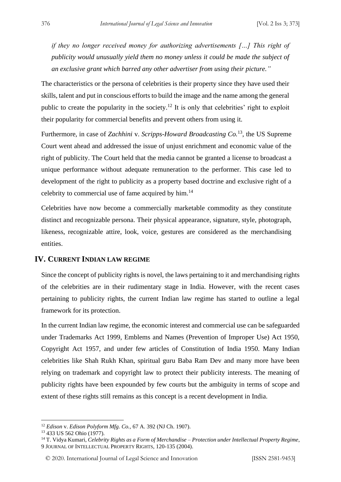*if they no longer received money for authorizing advertisements […] This right of publicity would unusually yield them no money unless it could be made the subject of an exclusive grant which barred any other advertiser from using their picture."*

The characteristics or the persona of celebrities is their property since they have used their skills, talent and put in conscious efforts to build the image and the name among the general public to create the popularity in the society.<sup>12</sup> It is only that celebrities' right to exploit their popularity for commercial benefits and prevent others from using it.

Furthermore, in case of *Zachhini* v. *Scripps-Howard Broadcasting Co.*<sup>13</sup>, the US Supreme Court went ahead and addressed the issue of unjust enrichment and economic value of the right of publicity. The Court held that the media cannot be granted a license to broadcast a unique performance without adequate remuneration to the performer. This case led to development of the right to publicity as a property based doctrine and exclusive right of a celebrity to commercial use of fame acquired by him.<sup>14</sup>

Celebrities have now become a commercially marketable commodity as they constitute distinct and recognizable persona. Their physical appearance, signature, style, photograph, likeness, recognizable attire, look, voice, gestures are considered as the merchandising entities.

#### **IV. CURRENT INDIAN LAW REGIME**

Since the concept of publicity rights is novel, the laws pertaining to it and merchandising rights of the celebrities are in their rudimentary stage in India. However, with the recent cases pertaining to publicity rights, the current Indian law regime has started to outline a legal framework for its protection.

In the current Indian law regime, the economic interest and commercial use can be safeguarded under Trademarks Act 1999, Emblems and Names (Prevention of Improper Use) Act 1950, Copyright Act 1957, and under few articles of Constitution of India 1950. Many Indian celebrities like Shah Rukh Khan, spiritual guru Baba Ram Dev and many more have been relying on trademark and copyright law to protect their publicity interests. The meaning of publicity rights have been expounded by few courts but the ambiguity in terms of scope and extent of these rights still remains as this concept is a recent development in India.

<sup>12</sup> *Edison* v. *Edison Polyform Mfg. Co.,* 67 A. 392 (NJ Ch. 1907).

<sup>13</sup> 433 US 562 Ohio (1977).

<sup>14</sup> T. Vidya Kumari, *Celebrity Rights as a Form of Merchandise – Protection under Intellectual Property Regime*, 9 JOURNAL OF INTELLECTUAL PROPERTY RIGHTS, 120-135 (2004).

<sup>© 2020.</sup> International Journal of Legal Science and Innovation [ISSN 2581-9453]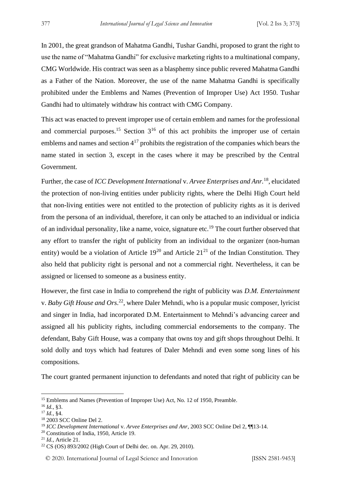In 2001, the great grandson of Mahatma Gandhi, Tushar Gandhi, proposed to grant the right to use the name of "Mahatma Gandhi" for exclusive marketing rights to a multinational company, CMG Worldwide. His contract was seen as a blasphemy since public revered Mahatma Gandhi as a Father of the Nation. Moreover, the use of the name Mahatma Gandhi is specifically prohibited under the Emblems and Names (Prevention of Improper Use) Act 1950. Tushar Gandhi had to ultimately withdraw his contract with CMG Company.

This act was enacted to prevent improper use of certain emblem and names for the professional and commercial purposes.<sup>15</sup> Section  $3^{16}$  of this act prohibits the improper use of certain emblems and names and section  $4^{17}$  prohibits the registration of the companies which bears the name stated in section 3, except in the cases where it may be prescribed by the Central Government.

Further, the case of *ICC Development International v. Arvee Enterprises and Anr.*<sup>18</sup>, elucidated the protection of non-living entities under publicity rights, where the Delhi High Court held that non-living entities were not entitled to the protection of publicity rights as it is derived from the persona of an individual, therefore, it can only be attached to an individual or indicia of an individual personality, like a name, voice, signature etc.<sup>19</sup> The court further observed that any effort to transfer the right of publicity from an individual to the organizer (non-human entity) would be a violation of Article  $19^{20}$  and Article  $21^{21}$  of the Indian Constitution. They also held that publicity right is personal and not a commercial right. Nevertheless, it can be assigned or licensed to someone as a business entity.

However, the first case in India to comprehend the right of publicity was *D.M. Entertainment* v. *Baby Gift House and Ors*. <sup>22</sup>, where Daler Mehndi, who is a popular music composer, lyricist and singer in India, had incorporated D.M. Entertainment to Mehndi's advancing career and assigned all his publicity rights, including commercial endorsements to the company. The defendant, Baby Gift House, was a company that owns toy and gift shops throughout Delhi. It sold dolly and toys which had features of Daler Mehndi and even some song lines of his compositions.

The court granted permanent injunction to defendants and noted that right of publicity can be

<sup>&</sup>lt;sup>15</sup> Emblems and Names (Prevention of Improper Use) Act, No. 12 of 1950, Preamble.

<sup>16</sup> *Id.*, §3.

<sup>17</sup> *Id.*, §4.

<sup>18</sup> 2003 SCC Online Del 2.

<sup>19</sup> *ICC Development International* v. *Arvee Enterprises and Anr*, 2003 SCC Online Del 2, ¶¶13-14.

<sup>&</sup>lt;sup>20</sup> Constitution of India, 1950, Article 19.

<sup>21</sup> *Id.*, Article 21.

<sup>22</sup> CS (OS) 893/2002 (High Court of Delhi dec. on. Apr. 29, 2010).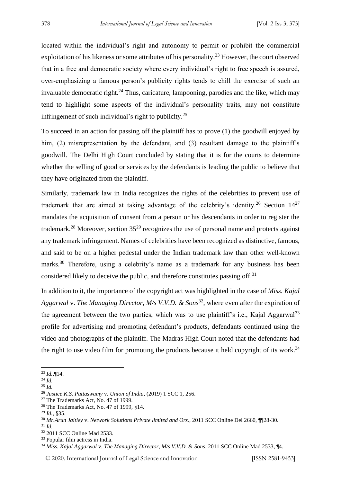located within the individual's right and autonomy to permit or prohibit the commercial exploitation of his likeness or some attributes of his personality.<sup>23</sup> However, the court observed that in a free and democratic society where every individual's right to free speech is assured, over-emphasizing a famous person's publicity rights tends to chill the exercise of such an invaluable democratic right.<sup>24</sup> Thus, caricature, lampooning, parodies and the like, which may tend to highlight some aspects of the individual's personality traits, may not constitute infringement of such individual's right to publicity.<sup>25</sup>

To succeed in an action for passing off the plaintiff has to prove (1) the goodwill enjoyed by him, (2) misrepresentation by the defendant, and (3) resultant damage to the plaintiff's goodwill. The Delhi High Court concluded by stating that it is for the courts to determine whether the selling of good or services by the defendants is leading the public to believe that they have originated from the plaintiff.

Similarly, trademark law in India recognizes the rights of the celebrities to prevent use of trademark that are aimed at taking advantage of the celebrity's identity.<sup>26</sup> Section  $14^{27}$ mandates the acquisition of consent from a person or his descendants in order to register the trademark.<sup>28</sup> Moreover, section  $35^{29}$  recognizes the use of personal name and protects against any trademark infringement. Names of celebrities have been recognized as distinctive, famous, and said to be on a higher pedestal under the Indian trademark law than other well-known marks.<sup>30</sup> Therefore, using a celebrity's name as a trademark for any business has been considered likely to deceive the public, and therefore constitutes passing off.<sup>31</sup>

In addition to it, the importance of the copyright act was highlighted in the case of *Miss. Kajal*  Aggarwal v. *The Managing Director, M/s V.V.D. & Sons*<sup>32</sup>, where even after the expiration of the agreement between the two parties, which was to use plaintiff's i.e., Kajal Aggarwal<sup>33</sup> profile for advertising and promoting defendant's products, defendants continued using the video and photographs of the plaintiff. The Madras High Court noted that the defendants had the right to use video film for promoting the products because it held copyright of its work.<sup>34</sup>

<sup>23</sup> *Id.*,¶14.

<sup>24</sup> *Id.*

<sup>25</sup> *Id.*

<sup>26</sup> *Justice K.S. Puttaswamy* v. *Union of India*, (2019) 1 SCC 1, 256.

<sup>&</sup>lt;sup>27</sup> The Trademarks Act, No. 47 of 1999.

<sup>28</sup> The Trademarks Act, No. 47 of 1999, §14.

<sup>29</sup> *Id.*, §35.

<sup>30</sup> *Mr.Arun Jaitley* v. *Network Solutions Private limited and Ors.*, 2011 SCC Online Del 2660, ¶¶28-30.

<sup>31</sup> *Id.*

<sup>32</sup> 2011 SCC Online Mad 2533.

<sup>33</sup> Popular film actress in India.

<sup>34</sup> *Miss. Kajal Aggarwal* v. *The Managing Director, M/s V.V.D. & Sons*, 2011 SCC Online Mad 2533, ¶4.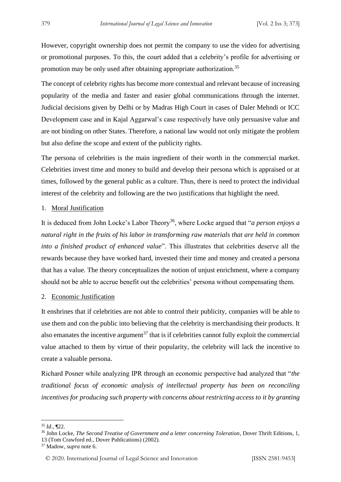However, copyright ownership does not permit the company to use the video for advertising or promotional purposes. To this, the court added that a celebrity's profile for advertising or promotion may be only used after obtaining appropriate authorization.<sup>35</sup>

The concept of celebrity rights has become more contextual and relevant because of increasing popularity of the media and faster and easier global communications through the internet. Judicial decisions given by Delhi or by Madras High Court in cases of Daler Mehndi or ICC Development case and in Kajal Aggarwal's case respectively have only persuasive value and are not binding on other States. Therefore, a national law would not only mitigate the problem but also define the scope and extent of the publicity rights.

The persona of celebrities is the main ingredient of their worth in the commercial market. Celebrities invest time and money to build and develop their persona which is appraised or at times, followed by the general public as a culture. Thus, there is need to protect the individual interest of the celebrity and following are the two justifications that highlight the need.

#### 1. Moral Justification

It is deduced from John Locke's Labor Theory<sup>36</sup>, where Locke argued that "*a person enjoys a natural right in the fruits of his labor in transforming raw materials that are held in common into a finished product of enhanced value*". This illustrates that celebrities deserve all the rewards because they have worked hard, invested their time and money and created a persona that has a value. The theory conceptualizes the notion of unjust enrichment, where a company should not be able to accrue benefit out the celebrities' persona without compensating them.

#### 2. Economic Justification

It enshrines that if celebrities are not able to control their publicity, companies will be able to use them and con the public into believing that the celebrity is merchandising their products. It also emanates the incentive argument<sup>37</sup> that is if celebrities cannot fully exploit the commercial value attached to them by virtue of their popularity, the celebrity will lack the incentive to create a valuable persona.

Richard Posner while analyzing IPR through an economic perspective had analyzed that "*the traditional focus of economic analysis of intellectual property has been on reconciling incentives for producing such property with concerns about restricting access to it by granting* 

<sup>35</sup> *Id.*, ¶22.

<sup>36</sup> John Locke, *The Second Treatise of Government and a letter concerning Toleration*, Dover Thrift Editions, 1, 13 (Tom Crawford ed., Dover Publications) (2002).

<sup>37</sup> Madow, *supra* note 6.

<sup>© 2020.</sup> International Journal of Legal Science and Innovation [ISSN 2581-9453]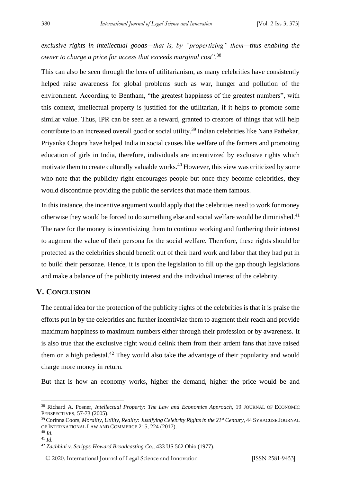*exclusive rights in intellectual goods—that is, by "propertizing" them—thus enabling the owner to charge a price for access that exceeds marginal cost*".<sup>38</sup>

This can also be seen through the lens of utilitarianism, as many celebrities have consistently helped raise awareness for global problems such as war, hunger and pollution of the environment. According to Bentham, "the greatest happiness of the greatest numbers", with this context, intellectual property is justified for the utilitarian, if it helps to promote some similar value. Thus, IPR can be seen as a reward, granted to creators of things that will help contribute to an increased overall good or social utility.<sup>39</sup> Indian celebrities like Nana Pathekar, Priyanka Chopra have helped India in social causes like welfare of the farmers and promoting education of girls in India, therefore, individuals are incentivized by exclusive rights which motivate them to create culturally valuable works.<sup>40</sup> However, this view was criticized by some who note that the publicity right encourages people but once they become celebrities, they would discontinue providing the public the services that made them famous.

In this instance, the incentive argument would apply that the celebrities need to work for money otherwise they would be forced to do something else and social welfare would be diminished.<sup>41</sup> The race for the money is incentivizing them to continue working and furthering their interest to augment the value of their persona for the social welfare. Therefore, these rights should be protected as the celebrities should benefit out of their hard work and labor that they had put in to build their personae. Hence, it is upon the legislation to fill up the gap though legislations and make a balance of the publicity interest and the individual interest of the celebrity.

#### **V. CONCLUSION**

The central idea for the protection of the publicity rights of the celebrities is that it is praise the efforts put in by the celebrities and further incentivize them to augment their reach and provide maximum happiness to maximum numbers either through their profession or by awareness. It is also true that the exclusive right would delink them from their ardent fans that have raised them on a high pedestal.<sup>42</sup> They would also take the advantage of their popularity and would charge more money in return.

But that is how an economy works, higher the demand, higher the price would be and

<sup>38</sup> Richard A. Posner, *Intellectual Property: The Law and Economics Approach*, 19 JOURNAL OF ECONOMIC PERSPECTIVES, 57-73 (2005).

<sup>39</sup> Corinna Coors, *Morality, Utility, Reality: Justifying Celebrity Rights in the 21st Century*, 44 SYRACUSE JOURNAL OF INTERNATIONAL LAW AND COMMERCE 215, 224 (2017).

<sup>40</sup> *Id.* <sup>41</sup> *Id.*

<sup>42</sup> *Zachhini v. Scripps-Howard Broadcasting Co.,* 433 US 562 Ohio (1977).

<sup>© 2020.</sup> International Journal of Legal Science and Innovation [ISSN 2581-9453]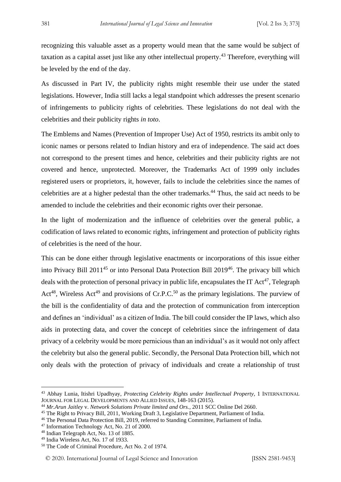recognizing this valuable asset as a property would mean that the same would be subject of taxation as a capital asset just like any other intellectual property.<sup>43</sup> Therefore, everything will be leveled by the end of the day.

As discussed in Part IV, the publicity rights might resemble their use under the stated legislations. However, India still lacks a legal standpoint which addresses the present scenario of infringements to publicity rights of celebrities. These legislations do not deal with the celebrities and their publicity rights *in toto*.

The Emblems and Names (Prevention of Improper Use) Act of 1950, restricts its ambit only to iconic names or persons related to Indian history and era of independence. The said act does not correspond to the present times and hence, celebrities and their publicity rights are not covered and hence, unprotected. Moreover, the Trademarks Act of 1999 only includes registered users or proprietors, it, however, fails to include the celebrities since the names of celebrities are at a higher pedestal than the other trademarks.<sup>44</sup> Thus, the said act needs to be amended to include the celebrities and their economic rights over their personae.

In the light of modernization and the influence of celebrities over the general public, a codification of laws related to economic rights, infringement and protection of publicity rights of celebrities is the need of the hour.

This can be done either through legislative enactments or incorporations of this issue either into Privacy Bill 2011<sup>45</sup> or into Personal Data Protection Bill 2019<sup>46</sup>. The privacy bill which deals with the protection of personal privacy in public life, encapsulates the IT  $\text{Act}^{47}$ , Telegraph Act<sup>48</sup>, Wireless Act<sup>49</sup> and provisions of Cr.P.C.<sup>50</sup> as the primary legislations. The purview of the bill is the confidentiality of data and the protection of communication from interception and defines an 'individual' as a citizen of India. The bill could consider the IP laws, which also aids in protecting data, and cover the concept of celebrities since the infringement of data privacy of a celebrity would be more pernicious than an individual's as it would not only affect the celebrity but also the general public. Secondly, the Personal Data Protection bill, which not only deals with the protection of privacy of individuals and create a relationship of trust

<sup>43</sup> Abhay Lunia, Itishri Upadhyay, *Protecting Celebrity Rights under Intellectual Property*, 1 INTERNATIONAL JOURNAL FOR LEGAL DEVELOPMENTS AND ALLIED ISSUES, 148-163 (2015).

<sup>44</sup> *Mr.Arun Jaitley* v. *Network Solutions Private limited and Ors.*, 2011 SCC Online Del 2660.

<sup>&</sup>lt;sup>45</sup> The Right to Privacy Bill, 2011, Working Draft 3, Legislative Department, Parliament of India.

<sup>46</sup> The Personal Data Protection Bill, 2019, referred to Standing Committee, Parliament of India.

<sup>47</sup> Information Technology Act, No. 21 of 2000.

<sup>48</sup> Indian Telegraph Act, No. 13 of 1885.

<sup>49</sup> India Wireless Act, No. 17 of 1933.

<sup>50</sup> The Code of Criminal Procedure, Act No. 2 of 1974.